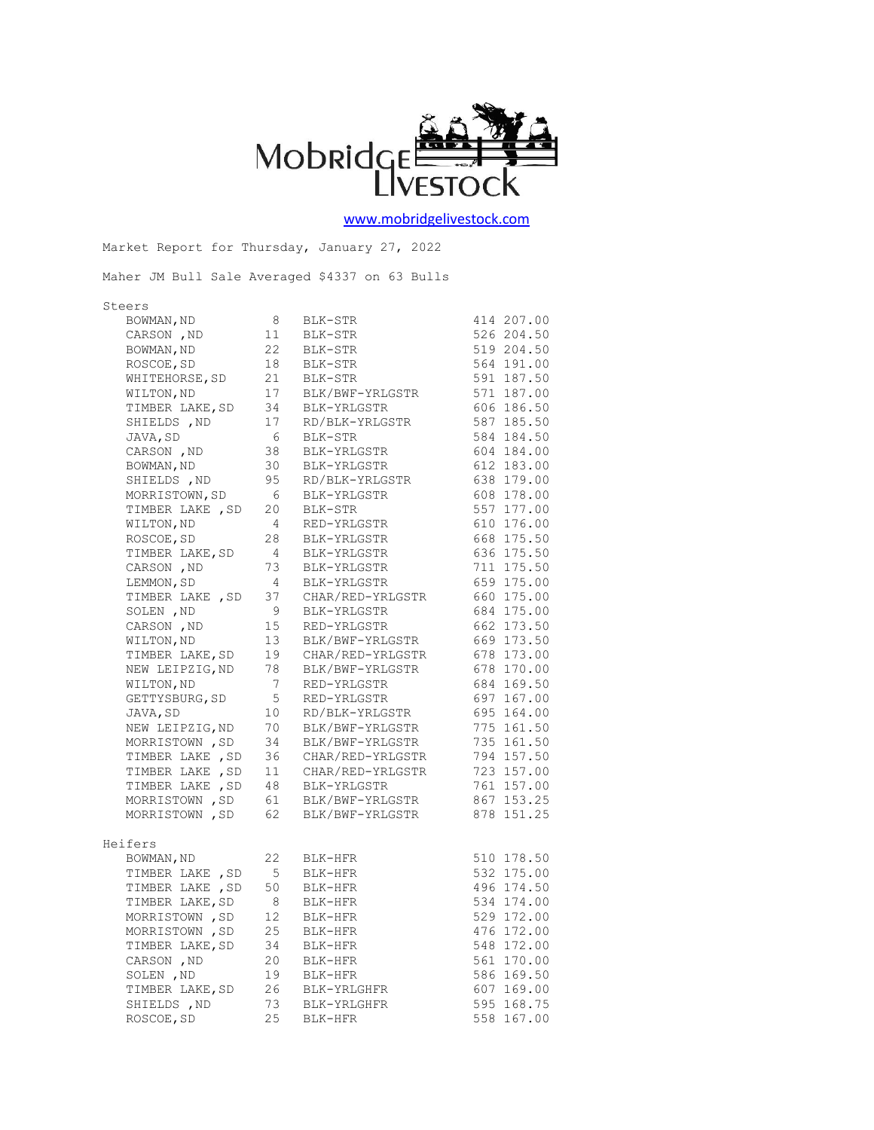

[www.mobridgelivestock.com](http://www.mobridgelivestock.com/)

|         |                                    |                                              | Market Report for Thursday, January 27, 2022                                                                                                     |              |
|---------|------------------------------------|----------------------------------------------|--------------------------------------------------------------------------------------------------------------------------------------------------|--------------|
|         |                                    |                                              | Maher JM Bull Sale Averaged \$4337 on 63 Bulls                                                                                                   |              |
| Steers  |                                    |                                              |                                                                                                                                                  |              |
|         | BOWMAN, ND<br>CARSON ND 11         |                                              | BLK-STR                                                                                                                                          | 414 207.00   |
|         | CARSON , ND                        | $\frac{3}{11}$                               | BLK-STR                                                                                                                                          | 526 204.50   |
|         | BOWMAN, ND                         |                                              | 22 BLK-STR                                                                                                                                       | 519 204.50   |
|         |                                    |                                              | ROSCOE, SD 18 BLK-STR 564 191.00<br>WHITEHORSE, SD 21 BLK-STR 591 187.50<br>WILTON, ND 17 BLK/BWF-YRLGSTR 571 187.00                             |              |
|         |                                    |                                              |                                                                                                                                                  |              |
|         |                                    |                                              |                                                                                                                                                  |              |
|         | TIMBER LAKE, SD 34                 |                                              | BLK-YRLGSTR                                                                                                                                      | 606 186.50   |
|         |                                    |                                              | RD/BLK-YRLGSTR                                                                                                                                   | 587 185.50   |
|         |                                    |                                              | SHIELDS , ND<br>JAVA, SD<br>CARSON , ND<br>38 BLK-YRLGSTR<br>CARSON , ND<br>38 BLK-YRLGSTR                                                       | 584 184.50   |
|         |                                    |                                              |                                                                                                                                                  | 604 184.00   |
|         | BOWMAN, ND<br>SHIELDS .ND          |                                              | BLK-YRLGSTR<br>RD/BLK-YRLGSTR 638 179.00<br>BLK-YRLGSTR 608 178.00<br>ELK-YRLGSTR 608 178.00                                                     |              |
|         | SHIELDS , ND                       |                                              | 30 BLK-YRLGSTR<br>95 RD/BLK-YRLGSTR                                                                                                              |              |
|         | MORRISTOWN, SD 6                   |                                              |                                                                                                                                                  |              |
|         | TIMBER LAKE , SD                   | 20                                           | BLK-STR                                                                                                                                          | 557 177.00   |
|         | WILTON, ND                         | $\overline{4}$                               | RED-YRLGSTR                                                                                                                                      | 610 176.00   |
|         | ROSCOE, SD                         | 28                                           | BLK-YRLGSTR                                                                                                                                      | 668 175.50   |
|         | TIMBER LAKE, SD                    | $\overline{4}$                               | BLK-YRLGSTR                                                                                                                                      | 636 175.50   |
|         | CARSON , ND                        | 73                                           | BLK-YRLGSTR                                                                                                                                      | 711 175.50   |
|         | LEMMON, SD                         | $\begin{array}{c} \hline 4 \\ 4 \end{array}$ | BLK-YRLGSTR                                                                                                                                      | $659$ 175.00 |
|         | TIMBER LAKE, SD 37                 |                                              | CHAR/RED-YRLGSTR 660 175.00                                                                                                                      |              |
|         | SOLEN, ND                          | 9                                            | BLK-YRLGSTR                                                                                                                                      | 684 175.00   |
|         | CARSON , ND                        | 15                                           | RED-YRLGSTR                                                                                                                                      | 662 173.50   |
|         | WILTON, ND                         | 13                                           | BLK/BWF-YRLGSTR 669 173.50                                                                                                                       |              |
|         | TIMBER LAKE, SD 19                 |                                              | CHAR/RED-YRLGSTR 678 173.00                                                                                                                      |              |
|         | NEW LEIPZIG, ND 78<br>WILTON, ND 7 |                                              | CHAR/KED 111-1.<br>BLK/BWF-YRLGSTR                                                                                                               | 678 170.00   |
|         |                                    |                                              | RED-YRLGSTR                                                                                                                                      | $684$ 169.50 |
|         | GETTYSBURG, SD <sub>5</sub>        |                                              | 697 167.00<br>RED-YRLGSTR                                                                                                                        |              |
|         | JAVA,SD 10<br>NEW LEIPZIG,ND 70    |                                              | RD/BLK-YRLGSTR 695 164.00<br>BLK/BWF-YRLGSTR 775 161.50                                                                                          |              |
|         |                                    |                                              |                                                                                                                                                  |              |
|         | MORRISTOWN, SD 34                  |                                              | BLK/BWF-YRLGSTR                                                                                                                                  | 735 161.50   |
|         |                                    |                                              |                                                                                                                                                  |              |
|         |                                    |                                              | TIMBER LAKE , SD 36 CHAR/RED-YRLGSTR 794 157.50<br>TIMBER LAKE , SD 11 CHAR/RED-YRLGSTR 723 157.00<br>TIMBER LAKE , SD 48 BLK-YRLGSTR 761 157.00 |              |
|         |                                    |                                              | TIMBER LAKE, SD 48 BLK-YRLGSTR                                                                                                                   | 761 157.00   |
|         |                                    |                                              | MORRISTOWN , SD 61 BLK/BWF-YRLGSTR 867 153.25<br>MORRISTOWN , SD 62 BLK/BWF-YRLGSTR 878 151.25                                                   |              |
|         |                                    |                                              |                                                                                                                                                  |              |
| Heifers |                                    |                                              |                                                                                                                                                  |              |
|         |                                    |                                              | BOWMAN, ND<br>TIMBER LAKE , SD 5 BLK-HFR                                                                                                         | 510 178.50   |
|         |                                    |                                              |                                                                                                                                                  | 532 175.00   |
|         | TIMBER LAKE , SD                   | 50                                           | BLK-HFR                                                                                                                                          | 496 174.50   |
|         | TIMBER LAKE, SD                    | 8                                            | BLK-HFR                                                                                                                                          | 534 174.00   |
|         | MORRISTOWN, SD                     | 12                                           | BLK-HFR                                                                                                                                          | 529 172.00   |
|         | MORRISTOWN, SD                     | 25                                           | BLK-HFR                                                                                                                                          | 476 172.00   |
|         | TIMBER LAKE, SD                    | 34                                           | BLK-HFR                                                                                                                                          | 548 172.00   |
|         | CARSON, ND                         | 20                                           | BLK-HFR                                                                                                                                          | 561 170.00   |
|         | SOLEN, ND                          | 19                                           | BLK-HFR                                                                                                                                          | 586 169.50   |
|         | TIMBER LAKE, SD                    | 26                                           | BLK-YRLGHFR                                                                                                                                      | 607 169.00   |
|         | SHIELDS , ND                       | 73                                           | BLK-YRLGHFR                                                                                                                                      | 595 168.75   |
|         | ROSCOE, SD                         | 25                                           | BLK-HFR                                                                                                                                          | 558 167.00   |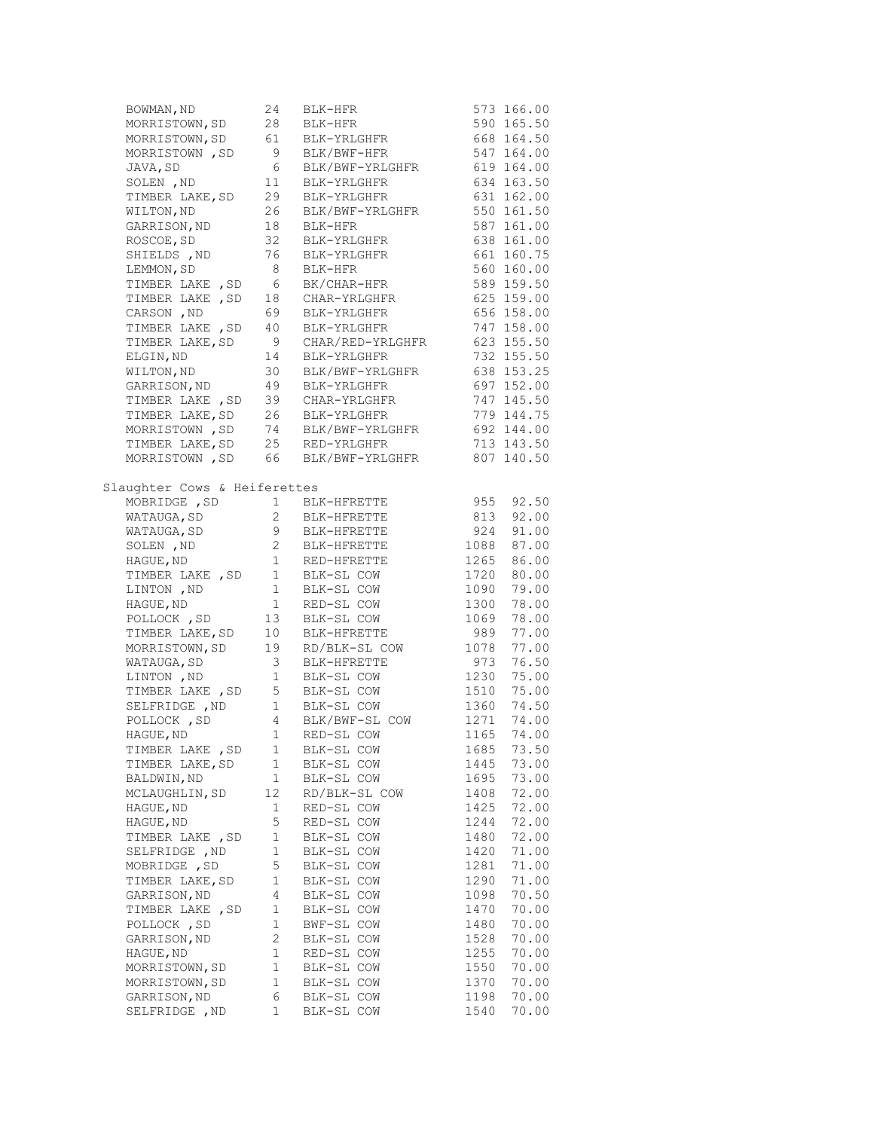| BOWMAN, ND                                                                             | 24              | BLK-HFR<br>BLK-HFR                                                                                                                   |               | 573 166.00 |
|----------------------------------------------------------------------------------------|-----------------|--------------------------------------------------------------------------------------------------------------------------------------|---------------|------------|
| MORRISTOWN, SD                                                                         | 28              |                                                                                                                                      |               | 590 165.50 |
| MORRISTOWN, SD                                                                         |                 | 61       BLK-YRLGHFR<br>9       BLK/BWF-HFR                                                                                          |               | 668 164.50 |
| MORRISTOWN , SD                                                                        |                 |                                                                                                                                      |               | 547 164.00 |
| JAVA, SD                                                                               | $6\overline{6}$ | BLK/BWF-YRLGHFR 619 164.00                                                                                                           |               |            |
| SOLEN , ND                                                                             | 11              | BLK-YRLGHFR                                                                                                                          |               | 634 163.50 |
| TIMBER LAKE, SD                                                                        | 29              | BLK-YRLGHFR                                                                                                                          |               | 631 162.00 |
| WILTON, ND                                                                             | 26              | BLK/BWF-YRLGHFR                                                                                                                      |               | 550 161.50 |
| GARRISON, ND                                                                           | 18              |                                                                                                                                      |               | 587 161.00 |
| ROSCOE, SD                                                                             |                 | BLK-HFR<br>BLK-YRLGHFR                                                                                                               |               | 638 161.00 |
| SHIELDS , ND                                                                           | 32<br>76        | BLK-YRLGHFR<br>BLK-HFR                                                                                                               |               | 661 160.75 |
| LEMMON, SD                                                                             | 8 <sup>1</sup>  |                                                                                                                                      |               | 560 160.00 |
|                                                                                        |                 | BK/CHAR-HFR                                                                                                                          |               | 589 159.50 |
| TIMBER LAKE , SD 6 BK/CHAR-HFR<br>TIMBER LAKE , SD 18 CHAR-YRLGHFR<br>TIMBER LAKE , SD |                 |                                                                                                                                      |               | 625 159.00 |
| CARSON , ND                                                                            | 69              | BLK-YRLGHFR                                                                                                                          |               | 656 158.00 |
| TIMBER LAKE , SD                                                                       | 40              | BLK-YRLGHFR                                                                                                                          |               | 747 158.00 |
| TIMBER LAKE, SD                                                                        | 9               | CHAR/RED-YRLGHFR                                                                                                                     |               | 623 155.50 |
| ELGIN, ND                                                                              | 14              | BLK-YRLGHFR                                                                                                                          |               | 732 155.50 |
| WILTON, ND                                                                             | 30              | BLK/BWF-YRLGHFR                                                                                                                      |               | 638 153.25 |
| GARRISON, ND                                                                           | 49              | BLK-YRLGHFR                                                                                                                          |               | 697 152.00 |
| TIMBER LAKE, SD 39 CHAR-YRLGHFR                                                        |                 |                                                                                                                                      |               | 747 145.50 |
| TIMBER LAKE, SD 26 BLK-YRLGHFR                                                         |                 |                                                                                                                                      |               | 779 144.75 |
|                                                                                        |                 |                                                                                                                                      |               | 692 144.00 |
|                                                                                        |                 | MORRISTOWN , SD 74 BLK/BWF-YRLGHFR<br>TIMBER LAKE, SD 25 RED-YRLGHFR                                                                 |               | 713 143.50 |
|                                                                                        |                 | MORRISTOWN, SD 66 BLK/BWF-YRLGHFR                                                                                                    |               | 807 140.50 |
|                                                                                        |                 |                                                                                                                                      |               |            |
| Slaughter Cows & Heiferettes                                                           |                 |                                                                                                                                      |               |            |
| MOBRIDGE , SD                                                                          |                 | 1 BLK-HFRETTE<br>2 BLK-HFRETTE                                                                                                       | 955 92.50     |            |
| WATAUGA, SD                                                                            |                 |                                                                                                                                      |               | 813 92.00  |
| WATAUGA, SD                                                                            |                 |                                                                                                                                      |               | 924 91.00  |
| SOLEN, ND                                                                              |                 |                                                                                                                                      |               | 1088 87.00 |
| HAGUE, ND                                                                              |                 | 1 RED-HFRETTE                                                                                                                        |               | 1265 86.00 |
|                                                                                        |                 |                                                                                                                                      |               | 1720 80.00 |
| TIMBER LAKE, SD 1 BLK-SL COW<br>LINTON, ND 1 BLK-SL COW                                |                 |                                                                                                                                      | 1090          | 79.00      |
| HAGUE, ND                                                                              |                 | 1 RED-SL COW                                                                                                                         | 1300          | 78.00      |
| POLLOCK, SD                                                                            |                 | 13 BLK-SL COW                                                                                                                        | 1069          | 78.00      |
| TIMBER LAKE, SD                                                                        | 10 <sub>1</sub> | BLK-HFRETTE                                                                                                                          | 989           | 77.00      |
|                                                                                        |                 | MORRISTOWN, SD 19 RD/BLK-SL COW                                                                                                      | 1078          | 77.00      |
| WATAUGA, SD                                                                            |                 | 3 BLK-HFRETTE                                                                                                                        | $973$<br>1230 | 76.50      |
| LINTON, ND 1 BLK-SL COW<br>TIMBER LAKE, SD 5 BLK-SL COW                                |                 |                                                                                                                                      | 1230          | 75.00      |
|                                                                                        |                 |                                                                                                                                      | 1510 75.00    |            |
| SELFRIDGE , ND                                                                         |                 | 1 BLK-SL COW                                                                                                                         | 1360          | 74.50      |
|                                                                                        |                 | POLLOCK, SD $\begin{array}{cccccc} 4 & BLK/BWF-SL & COW & 1271 & 74.00 \\ HAGUE, ND & & 1 & RED-SL & COW & 1165 & 74.00 \end{array}$ |               |            |
|                                                                                        |                 |                                                                                                                                      |               |            |
| TIMBER LAKE , SD                                                                       | 1               | BLK-SL COW                                                                                                                           | 1685          | 73.50      |
| TIMBER LAKE, SD                                                                        | 1               | BLK-SL COW                                                                                                                           | 1445          | 73.00      |
| BALDWIN, ND                                                                            | $\mathbf{1}$    | BLK-SL COW                                                                                                                           | 1695          | 73.00      |
| MCLAUGHLIN, SD                                                                         | 12              | RD/BLK-SL COW                                                                                                                        | 1408          | 72.00      |
| HAGUE, ND                                                                              | 1               | RED-SL COW                                                                                                                           | 1425          | 72.00      |
| HAGUE, ND                                                                              | 5               | RED-SL COW                                                                                                                           | 1244          | 72.00      |
| TIMBER LAKE , SD                                                                       | $1\,$           | BLK-SL COW                                                                                                                           | 1480          | 72.00      |
| SELFRIDGE , ND                                                                         | $1\,$           | BLK-SL COW                                                                                                                           | 1420          | 71.00      |
| MOBRIDGE , SD                                                                          | 5               | BLK-SL COW                                                                                                                           | 1281          | 71.00      |
| TIMBER LAKE, SD                                                                        | 1               | BLK-SL COW                                                                                                                           | 1290          | 71.00      |
| GARRISON, ND                                                                           | 4               | BLK-SL COW                                                                                                                           | 1098          | 70.50      |
| TIMBER LAKE, SD                                                                        | 1               | BLK-SL COW                                                                                                                           | 1470          | 70.00      |
| POLLOCK , SD                                                                           | $\mathbf{1}$    | BWF-SL COW                                                                                                                           | 1480          | 70.00      |
| GARRISON, ND                                                                           | 2               | BLK-SL COW                                                                                                                           | 1528          | 70.00      |
| HAGUE, ND                                                                              | 1               | RED-SL COW                                                                                                                           | 1255          | 70.00      |
| MORRISTOWN, SD                                                                         | $\mathbf 1$     | BLK-SL COW                                                                                                                           | 1550          | 70.00      |
| MORRISTOWN, SD                                                                         | 1               | BLK-SL COW                                                                                                                           | 1370          | 70.00      |
| GARRISON, ND                                                                           | 6               | BLK-SL COW                                                                                                                           | 1198          | 70.00      |
| SELFRIDGE , ND                                                                         | 1               | BLK-SL COW                                                                                                                           | 1540          | 70.00      |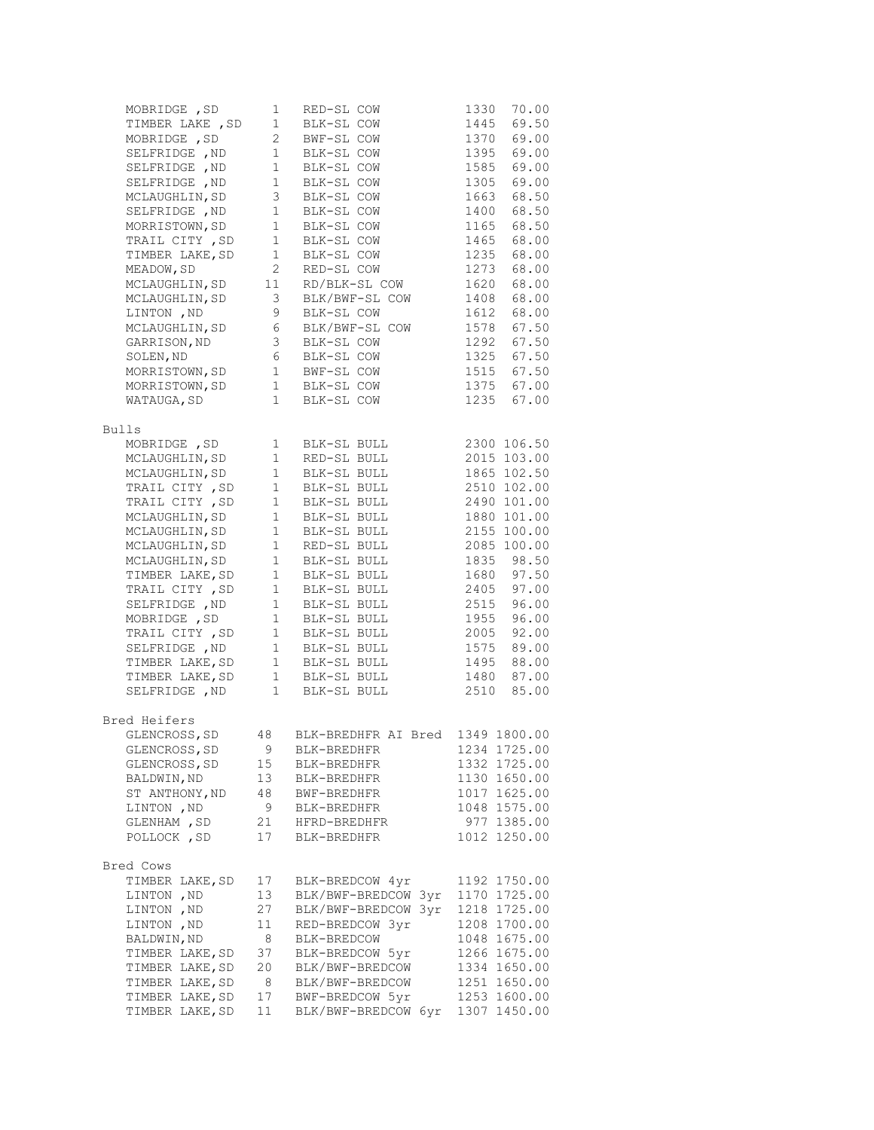| MOBRIDGE , SD                                          | $\mathbf{1}$                          | RED-SL COW                                                    | 70.00<br>1330          |
|--------------------------------------------------------|---------------------------------------|---------------------------------------------------------------|------------------------|
| TIMBER LAKE , SD                                       | $1 -$                                 | BLK-SL COW<br>BWF-SL COW<br>PLK-SL COW                        | 1445 69.50             |
| MOBRIDGE , SD                                          | $2\overline{ }$                       |                                                               | 1370 69.00             |
|                                                        | 1                                     | BLK-SL COW                                                    | 69.00<br>1395          |
| SELFRIDGE , ND 1<br>SELFRIDGE , ND 1                   |                                       | BLK-SL COW                                                    | 1585 69.00             |
| SELFRIDGE, ND 1                                        |                                       | BLK-SL COW                                                    | 1305 69.00             |
| MCLAUGHLIN, SD                                         | $\mathcal{S}$                         | BLK-SL COW                                                    | 68.50<br>1663          |
| SELFRIDGE , ND                                         | $\begin{array}{c} 3 \\ 1 \end{array}$ | BLK-SL COW                                                    | 1400<br>68.50          |
| MORRISTOWN, SD                                         | $\sim$ $1$                            | BLK-SL COW                                                    | 1165<br>68.50          |
| TRAIL CITY, SD 1                                       |                                       | BLK-SL COW                                                    | 1465<br>68.00          |
| TIMBER LAKE, SD                                        | 1                                     | BLK-SL COW                                                    | 1235<br>68.00          |
| MEADOW, SD                                             | $\overline{2}$                        | RED-SL COW                                                    | 1273 68.00             |
| MCLAUGHLIN, SD <sub>11</sub>                           |                                       | RD/BLK-SL COW                                                 | 68.00<br>1620          |
| MCLAUGHLIN,SD 3<br>LINTON,ND 9                         |                                       | BLK/BWF-SL COW                                                | 68.00<br>1408          |
|                                                        |                                       | BLK-SL COW                                                    | 1612<br>68.00          |
| MCLAUGHLIN, SD 6                                       |                                       | BLK/BWF-SL COW                                                | 1578<br>67.50          |
|                                                        |                                       | GARRISON, ND 3 BLK-SL COW<br>SOLEN, ND 6 BLK-SL COW           | 1292<br>67.50          |
|                                                        |                                       |                                                               | 1325 67.50             |
|                                                        |                                       | MORRISTOWN, SD 1 BWF-SL COW                                   | 1515 67.50             |
|                                                        |                                       | MORRISTOWN, SD 1 BLK-SL COW                                   | 1375 67.00             |
| WATAUGA, SD                                            |                                       | 1 BLK-SL COW                                                  | 1235 67.00             |
| Bulls                                                  |                                       |                                                               |                        |
| MOBRIDGE , SD                                          | $\mathbf{1}$                          | BLK-SL BULL                                                   | 2300 106.50            |
| MCLAUGHLIN, SD <sub>1</sub>                            |                                       | RED-SL BULL                                                   | 2015 103.00            |
| MCLAUGHLIN, SD <sub>1</sub>                            |                                       | BLK-SL BULL                                                   | 1865 102.50            |
| TRAIL CITY , SD 1<br>TRAIL CITY , SD 1                 |                                       | BLK-SL BULL                                                   | 2510 102.00            |
|                                                        |                                       | BLK-SL BULL                                                   | 2490 101.00            |
| MCLAUGHLIN, SD <sub>1</sub>                            |                                       | BLK-SL BULL                                                   | 1880 101.00            |
| MCLAUGHLIN, SD<br>MCLAUGHLIN, SD 1<br>MCLAUGHLIN, SD 1 |                                       | BLK-SL BULL 2155 100.00                                       |                        |
|                                                        |                                       | RED-SL BULL                                                   | 2085 100.00            |
| MCLAUGHLIN, SD <sub>1</sub>                            |                                       | BLK-SL BULL                                                   | 1835 98.50             |
| TIMBER LAKE, SD 1                                      |                                       | BLK-SL BULL                                                   | 1680 97.50             |
| TRAIL CITY, SD 1<br>SELFRIDGE, ND 1                    |                                       | BLK-SL BULL                                                   | 97.00<br>2405          |
| SELFRIDGE , ND                                         | 1                                     | BLK-SL BULL                                                   | 2515 96.00             |
|                                                        |                                       | MOBRIDGE, SD 1 BLK-SL BULL                                    | 1955 96.00             |
|                                                        |                                       | TRAIL CITY, SD 1 BLK-SL BULL<br>SELFRIDGE, ND 1 BLK-SL BULL   | 92.00<br>2005          |
|                                                        |                                       |                                                               | 1575 89.00             |
|                                                        |                                       | TIMBER LAKE, SD 1 BLK-SL BULL 1495 88.00                      |                        |
|                                                        |                                       | TIMBER LAKE, SD 1 BLK-SL BULL<br>SELFRIDGE , ND 1 BLK-SL BULL | 1480 87.00             |
|                                                        |                                       |                                                               | $1480$ .<br>2510 85.00 |
| Bred Heifers                                           |                                       |                                                               |                        |
| GLENCROSS, SD                                          | 48                                    | BLK-BREDHFR AI Bred 1349 1800.00                              |                        |
| GLENCROSS, SD                                          | 9                                     | BLK-BREDHFR                                                   | 1234 1725.00           |
| GLENCROSS, SD                                          | 15                                    | BLK-BREDHFR                                                   | 1332 1725.00           |
| BALDWIN, ND                                            | 13                                    | BLK-BREDHFR                                                   | 1130 1650.00           |
| ST ANTHONY, ND                                         | 48                                    | BWF-BREDHFR                                                   | 1017 1625.00           |
| LINTON , ND                                            | 9                                     | BLK-BREDHFR                                                   | 1048 1575.00           |
| GLENHAM , SD                                           | 21                                    | HFRD-BREDHFR                                                  | 977 1385.00            |
| POLLOCK , SD                                           | 17                                    | BLK-BREDHFR                                                   | 1012 1250.00           |
| Bred Cows                                              |                                       |                                                               |                        |
| TIMBER LAKE, SD                                        | 17                                    | BLK-BREDCOW 4yr                                               | 1192 1750.00           |
| LINTON , ND                                            | 13                                    | BLK/BWF-BREDCOW 3yr                                           | 1170 1725.00           |
| LINTON , ND                                            | 27                                    | BLK/BWF-BREDCOW 3yr                                           | 1218 1725.00           |
| LINTON , ND                                            | 11                                    | RED-BREDCOW 3yr                                               | 1208 1700.00           |
| BALDWIN, ND                                            | 8                                     | BLK-BREDCOW                                                   | 1048 1675.00           |
| TIMBER LAKE, SD                                        | 37                                    | BLK-BREDCOW 5yr                                               | 1266 1675.00           |
| TIMBER LAKE, SD                                        | 20                                    | BLK/BWF-BREDCOW                                               | 1334 1650.00           |
| TIMBER LAKE, SD                                        | 8                                     | BLK/BWF-BREDCOW                                               | 1251 1650.00           |
| TIMBER LAKE, SD                                        | 17                                    | BWF-BREDCOW 5yr                                               | 1253 1600.00           |
| TIMBER LAKE, SD                                        | 11                                    | BLK/BWF-BREDCOW 6yr                                           | 1307 1450.00           |